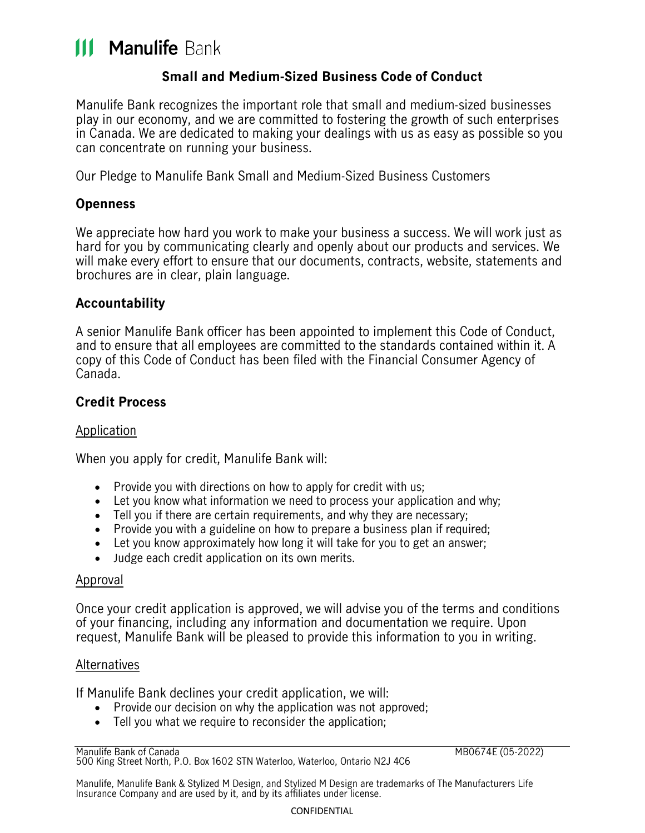# **111 Manulife Bank**

## **Small and Medium-Sized Business Code of Conduct**

Manulife Bank recognizes the important role that small and medium-sized businesses play in our economy, and we are committed to fostering the growth of such enterprises in Canada. We are dedicated to making your dealings with us as easy as possible so you can concentrate on running your business.

Our Pledge to Manulife Bank Small and Medium-Sized Business Customers

## **Openness**

We appreciate how hard you work to make your business a success. We will work just as hard for you by communicating clearly and openly about our products and services. We will make every effort to ensure that our documents, contracts, website, statements and brochures are in clear, plain language.

## **Accountability**

A senior Manulife Bank officer has been appointed to implement this Code of Conduct, and to ensure that all employees are committed to the standards contained within it. A copy of this Code of Conduct has been filed with the Financial Consumer Agency of Canada.

## **Credit Process**

#### Application

When you apply for credit, Manulife Bank will:

- Provide you with directions on how to apply for credit with us;
- Let you know what information we need to process your application and why;
- Tell you if there are certain requirements, and why they are necessary;
- Provide you with a guideline on how to prepare a business plan if required;
- Let you know approximately how long it will take for you to get an answer;
- Judge each credit application on its own merits.

#### Approval

Once your credit application is approved, we will advise you of the terms and conditions of your financing, including any information and documentation we require. Upon request, Manulife Bank will be pleased to provide this information to you in writing.

#### Alternatives

If Manulife Bank declines your credit application, we will:

- Provide our decision on why the application was not approved;
- Tell you what we require to reconsider the application;

MB0674E (05-2022)

Manulife, Manulife Bank & Stylized M Design, and Stylized M Design are trademarks of The Manufacturers Life Insurance Company and are used by it, and by its affiliates under license.